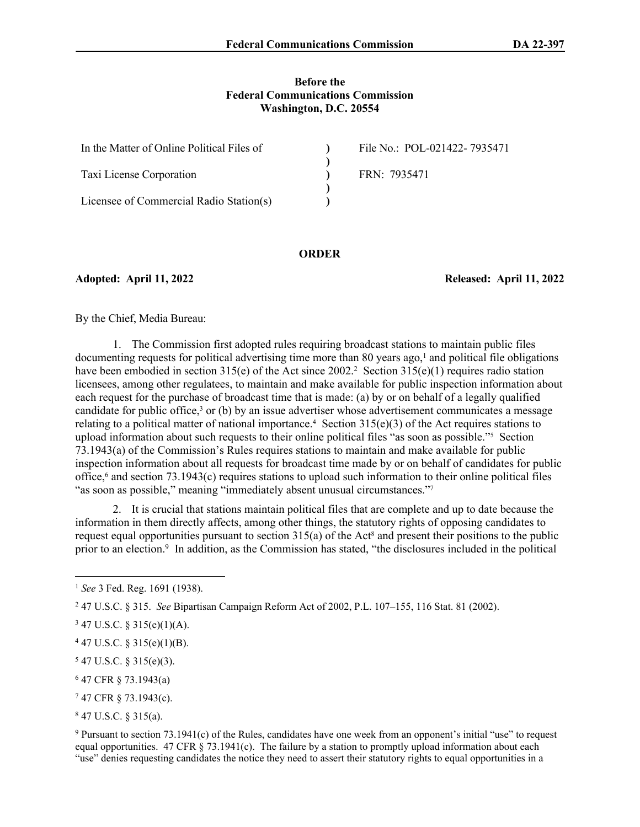#### **Before the Federal Communications Commission Washington, D.C. 20554**

| In the Matter of Online Political Files of | File No.: POL-021422-7935471 |
|--------------------------------------------|------------------------------|
|                                            |                              |
| Taxi License Corporation                   | FRN: 7935471                 |
|                                            |                              |
| Licensee of Commercial Radio Station(s)    |                              |

#### **ORDER**

**Adopted: April 11, 2022 Released: April 11, 2022**

By the Chief, Media Bureau:

1. The Commission first adopted rules requiring broadcast stations to maintain public files documenting requests for political advertising time more than 80 years ago, $<sup>1</sup>$  and political file obligations</sup> have been embodied in section 315(e) of the Act since 2002.<sup>2</sup> Section 315(e)(1) requires radio station licensees, among other regulatees, to maintain and make available for public inspection information about each request for the purchase of broadcast time that is made: (a) by or on behalf of a legally qualified candidate for public office,<sup>3</sup> or (b) by an issue advertiser whose advertisement communicates a message relating to a political matter of national importance.<sup>4</sup> Section  $315(e)(3)$  of the Act requires stations to upload information about such requests to their online political files "as soon as possible."<sup>5</sup> Section 73.1943(a) of the Commission's Rules requires stations to maintain and make available for public inspection information about all requests for broadcast time made by or on behalf of candidates for public office,<sup>6</sup> and section 73.1943(c) requires stations to upload such information to their online political files "as soon as possible," meaning "immediately absent unusual circumstances."<sup>7</sup>

2. It is crucial that stations maintain political files that are complete and up to date because the information in them directly affects, among other things, the statutory rights of opposing candidates to request equal opportunities pursuant to section  $315(a)$  of the Act<sup>8</sup> and present their positions to the public prior to an election.<sup>9</sup> In addition, as the Commission has stated, "the disclosures included in the political

- $547$  U.S.C. § 315(e)(3).
- 6 47 CFR § 73.1943(a)
- 7 47 CFR § 73.1943(c).

8 47 U.S.C. § 315(a).

9 Pursuant to section 73.1941(c) of the Rules, candidates have one week from an opponent's initial "use" to request equal opportunities. 47 CFR  $\S$  73.1941(c). The failure by a station to promptly upload information about each "use" denies requesting candidates the notice they need to assert their statutory rights to equal opportunities in a

<sup>1</sup> *See* 3 Fed. Reg. 1691 (1938).

<sup>2</sup> 47 U.S.C. § 315. *See* Bipartisan Campaign Reform Act of 2002, P.L. 107–155, 116 Stat. 81 (2002).

 $347$  U.S.C. § 315(e)(1)(A).

 $447$  U.S.C. § 315(e)(1)(B).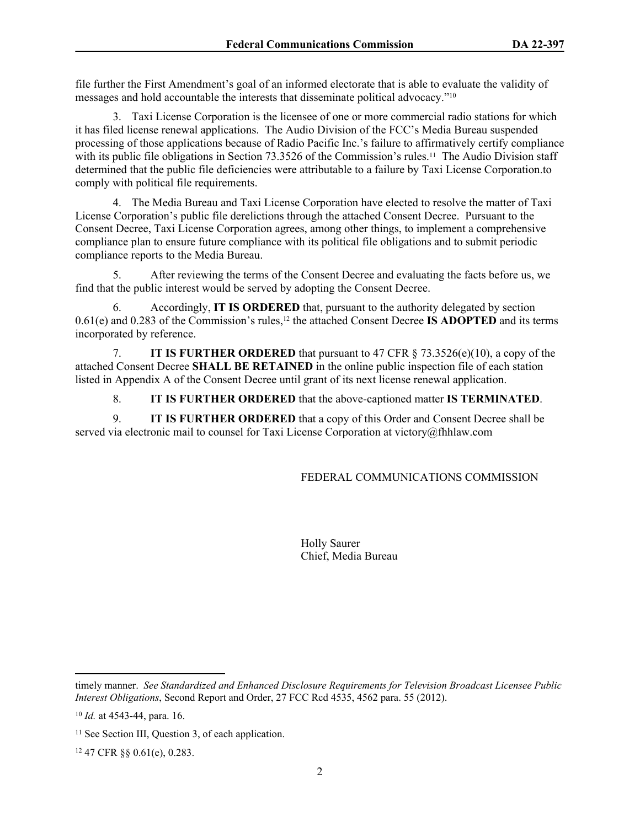file further the First Amendment's goal of an informed electorate that is able to evaluate the validity of messages and hold accountable the interests that disseminate political advocacy."<sup>10</sup>

3. Taxi License Corporation is the licensee of one or more commercial radio stations for which it has filed license renewal applications. The Audio Division of the FCC's Media Bureau suspended processing of those applications because of Radio Pacific Inc.'s failure to affirmatively certify compliance with its public file obligations in Section 73.3526 of the Commission's rules.<sup>11</sup> The Audio Division staff determined that the public file deficiencies were attributable to a failure by Taxi License Corporation.to comply with political file requirements.

4. The Media Bureau and Taxi License Corporation have elected to resolve the matter of Taxi License Corporation's public file derelictions through the attached Consent Decree. Pursuant to the Consent Decree, Taxi License Corporation agrees, among other things, to implement a comprehensive compliance plan to ensure future compliance with its political file obligations and to submit periodic compliance reports to the Media Bureau.

5. After reviewing the terms of the Consent Decree and evaluating the facts before us, we find that the public interest would be served by adopting the Consent Decree.

6. Accordingly, **IT IS ORDERED** that, pursuant to the authority delegated by section 0.61(e) and 0.283 of the Commission's rules,12 the attached Consent Decree **IS ADOPTED** and its terms incorporated by reference.

7. **IT IS FURTHER ORDERED** that pursuant to 47 CFR § 73.3526(e)(10), a copy of the attached Consent Decree **SHALL BE RETAINED** in the online public inspection file of each station listed in Appendix A of the Consent Decree until grant of its next license renewal application.

8. **IT IS FURTHER ORDERED** that the above-captioned matter **IS TERMINATED**.

9. **IT IS FURTHER ORDERED** that a copy of this Order and Consent Decree shall be served via electronic mail to counsel for Taxi License Corporation at victory@fhhlaw.com

# FEDERAL COMMUNICATIONS COMMISSION

Holly Saurer Chief, Media Bureau

timely manner. *See Standardized and Enhanced Disclosure Requirements for Television Broadcast Licensee Public Interest Obligations*, Second Report and Order, 27 FCC Rcd 4535, 4562 para. 55 (2012).

<sup>10</sup> *Id.* at 4543-44, para. 16.

<sup>&</sup>lt;sup>11</sup> See Section III, Question 3, of each application.

<sup>12</sup> 47 CFR §§ 0.61(e), 0.283.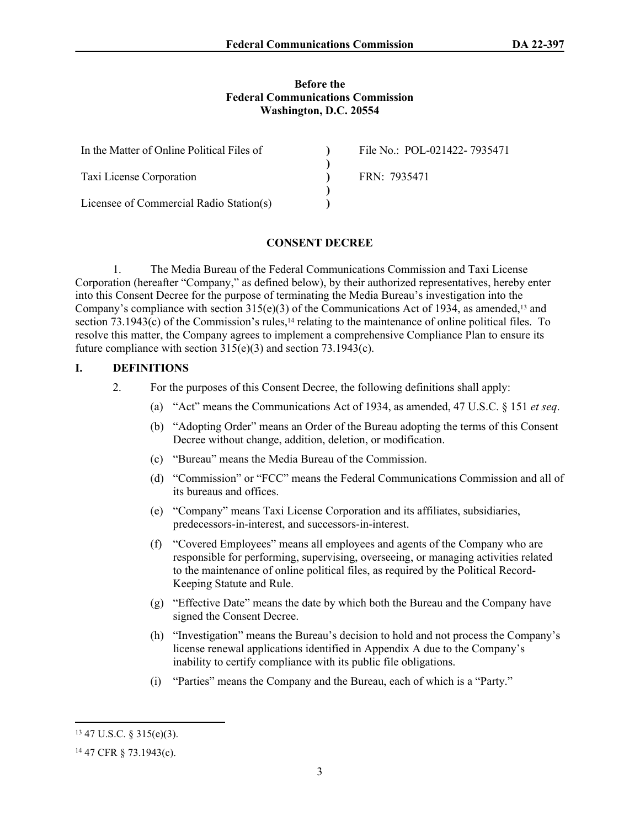#### **Before the Federal Communications Commission Washington, D.C. 20554**

| In the Matter of Online Political Files of | File No.: POL-021422-7935471 |
|--------------------------------------------|------------------------------|
|                                            |                              |
| Taxi License Corporation                   | FRN: 7935471                 |
|                                            |                              |
| Licensee of Commercial Radio Station(s)    |                              |

#### **CONSENT DECREE**

1. The Media Bureau of the Federal Communications Commission and Taxi License Corporation (hereafter "Company," as defined below), by their authorized representatives, hereby enter into this Consent Decree for the purpose of terminating the Media Bureau's investigation into the Company's compliance with section  $315(e)(3)$  of the Communications Act of 1934, as amended,<sup>13</sup> and section  $73.1943(c)$  of the Commission's rules,<sup>14</sup> relating to the maintenance of online political files. To resolve this matter, the Company agrees to implement a comprehensive Compliance Plan to ensure its future compliance with section 315(e)(3) and section 73.1943(c).

### **I. DEFINITIONS**

- 2. For the purposes of this Consent Decree, the following definitions shall apply:
	- (a) "Act" means the Communications Act of 1934, as amended, 47 U.S.C. § 151 *et seq*.
	- (b) "Adopting Order" means an Order of the Bureau adopting the terms of this Consent Decree without change, addition, deletion, or modification.
	- (c) "Bureau" means the Media Bureau of the Commission.
	- (d) "Commission" or "FCC" means the Federal Communications Commission and all of its bureaus and offices.
	- (e) "Company" means Taxi License Corporation and its affiliates, subsidiaries, predecessors-in-interest, and successors-in-interest.
	- (f) "Covered Employees" means all employees and agents of the Company who are responsible for performing, supervising, overseeing, or managing activities related to the maintenance of online political files, as required by the Political Record-Keeping Statute and Rule.
	- (g) "Effective Date" means the date by which both the Bureau and the Company have signed the Consent Decree.
	- (h) "Investigation" means the Bureau's decision to hold and not process the Company's license renewal applications identified in Appendix A due to the Company's inability to certify compliance with its public file obligations.
	- (i) "Parties" means the Company and the Bureau, each of which is a "Party."

<sup>13</sup> 47 U.S.C. § 315(e)(3).

<sup>14</sup> 47 CFR § 73.1943(c).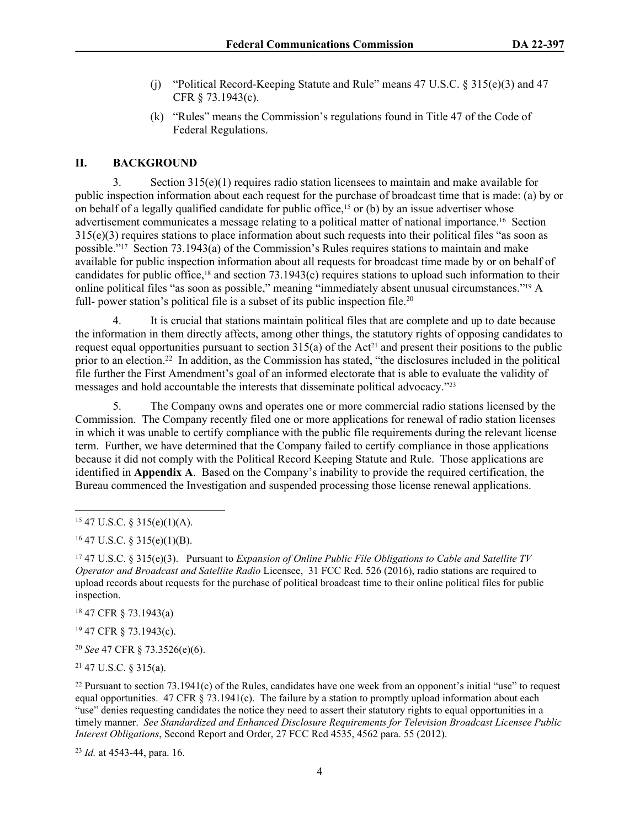- (j) "Political Record-Keeping Statute and Rule" means 47 U.S.C. § 315(e)(3) and 47 CFR § 73.1943(c).
- (k) "Rules" means the Commission's regulations found in Title 47 of the Code of Federal Regulations.

#### **II. BACKGROUND**

3. Section 315(e)(1) requires radio station licensees to maintain and make available for public inspection information about each request for the purchase of broadcast time that is made: (a) by or on behalf of a legally qualified candidate for public office,<sup>15</sup> or (b) by an issue advertiser whose advertisement communicates a message relating to a political matter of national importance.16 Section 315(e)(3) requires stations to place information about such requests into their political files "as soon as possible."17 Section 73.1943(a) of the Commission's Rules requires stations to maintain and make available for public inspection information about all requests for broadcast time made by or on behalf of candidates for public office,18 and section 73.1943(c) requires stations to upload such information to their online political files "as soon as possible," meaning "immediately absent unusual circumstances."19 A full- power station's political file is a subset of its public inspection file.<sup>20</sup>

4. It is crucial that stations maintain political files that are complete and up to date because the information in them directly affects, among other things, the statutory rights of opposing candidates to request equal opportunities pursuant to section  $315(a)$  of the Act<sup>21</sup> and present their positions to the public prior to an election.<sup>22</sup> In addition, as the Commission has stated, "the disclosures included in the political file further the First Amendment's goal of an informed electorate that is able to evaluate the validity of messages and hold accountable the interests that disseminate political advocacy."<sup>23</sup>

5. The Company owns and operates one or more commercial radio stations licensed by the Commission. The Company recently filed one or more applications for renewal of radio station licenses in which it was unable to certify compliance with the public file requirements during the relevant license term. Further, we have determined that the Company failed to certify compliance in those applications because it did not comply with the Political Record Keeping Statute and Rule. Those applications are identified in **Appendix A**. Based on the Company's inability to provide the required certification, the Bureau commenced the Investigation and suspended processing those license renewal applications.

<sup>18</sup> 47 CFR § 73.1943(a)

<sup>19</sup> 47 CFR § 73.1943(c).

<sup>20</sup> *See* 47 CFR § 73.3526(e)(6).

<sup>21</sup> 47 U.S.C. § 315(a).

<sup>22</sup> Pursuant to section  $73.1941(c)$  of the Rules, candidates have one week from an opponent's initial "use" to request equal opportunities. 47 CFR  $\S$  73.1941(c). The failure by a station to promptly upload information about each "use" denies requesting candidates the notice they need to assert their statutory rights to equal opportunities in a timely manner. *See Standardized and Enhanced Disclosure Requirements for Television Broadcast Licensee Public Interest Obligations*, Second Report and Order, 27 FCC Rcd 4535, 4562 para. 55 (2012).

<sup>23</sup> *Id.* at 4543-44, para. 16.

<sup>15</sup> 47 U.S.C. § 315(e)(1)(A).

 $16$  47 U.S.C. § 315(e)(1)(B).

<sup>17</sup> 47 U.S.C. § 315(e)(3). Pursuant to *Expansion of Online Public File Obligations to Cable and Satellite TV Operator and Broadcast and Satellite Radio* Licensee, 31 FCC Rcd. 526 (2016), radio stations are required to upload records about requests for the purchase of political broadcast time to their online political files for public inspection.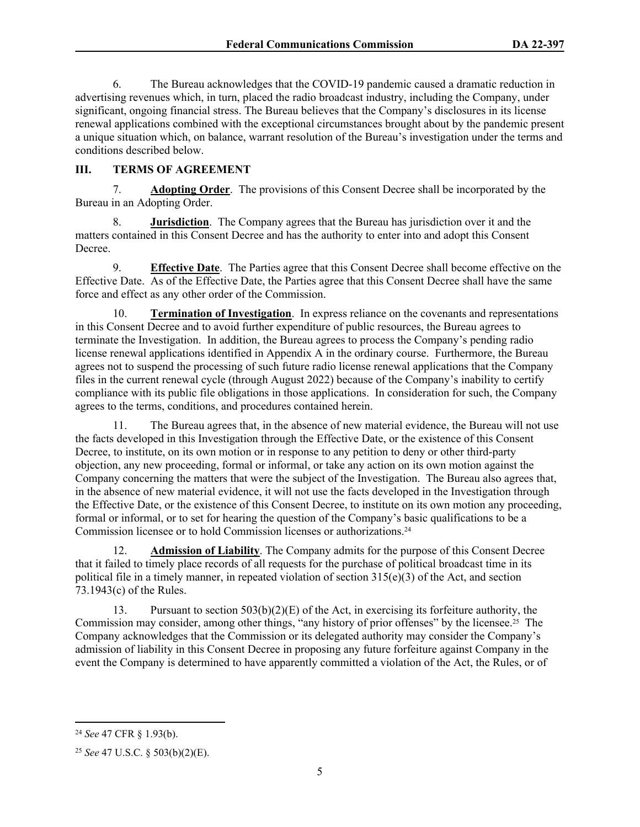6. The Bureau acknowledges that the COVID-19 pandemic caused a dramatic reduction in advertising revenues which, in turn, placed the radio broadcast industry, including the Company, under significant, ongoing financial stress. The Bureau believes that the Company's disclosures in its license renewal applications combined with the exceptional circumstances brought about by the pandemic present a unique situation which, on balance, warrant resolution of the Bureau's investigation under the terms and conditions described below.

# **III. TERMS OF AGREEMENT**

7. **Adopting Order**.The provisions of this Consent Decree shall be incorporated by the Bureau in an Adopting Order.

8. **Jurisdiction**. The Company agrees that the Bureau has jurisdiction over it and the matters contained in this Consent Decree and has the authority to enter into and adopt this Consent Decree.

9. **Effective Date**. The Parties agree that this Consent Decree shall become effective on the Effective Date. As of the Effective Date, the Parties agree that this Consent Decree shall have the same force and effect as any other order of the Commission.

10. **Termination of Investigation**.In express reliance on the covenants and representations in this Consent Decree and to avoid further expenditure of public resources, the Bureau agrees to terminate the Investigation. In addition, the Bureau agrees to process the Company's pending radio license renewal applications identified in Appendix A in the ordinary course. Furthermore, the Bureau agrees not to suspend the processing of such future radio license renewal applications that the Company files in the current renewal cycle (through August 2022) because of the Company's inability to certify compliance with its public file obligations in those applications. In consideration for such, the Company agrees to the terms, conditions, and procedures contained herein.

11. The Bureau agrees that, in the absence of new material evidence, the Bureau will not use the facts developed in this Investigation through the Effective Date, or the existence of this Consent Decree, to institute, on its own motion or in response to any petition to deny or other third-party objection, any new proceeding, formal or informal, or take any action on its own motion against the Company concerning the matters that were the subject of the Investigation. The Bureau also agrees that, in the absence of new material evidence, it will not use the facts developed in the Investigation through the Effective Date, or the existence of this Consent Decree, to institute on its own motion any proceeding, formal or informal, or to set for hearing the question of the Company's basic qualifications to be a Commission licensee or to hold Commission licenses or authorizations.<sup>24</sup>

12. **Admission of Liability**. The Company admits for the purpose of this Consent Decree that it failed to timely place records of all requests for the purchase of political broadcast time in its political file in a timely manner, in repeated violation of section  $315(e)(3)$  of the Act, and section 73.1943(c) of the Rules.

13. Pursuant to section  $503(b)(2)(E)$  of the Act, in exercising its forfeiture authority, the Commission may consider, among other things, "any history of prior offenses" by the licensee.25 The Company acknowledges that the Commission or its delegated authority may consider the Company's admission of liability in this Consent Decree in proposing any future forfeiture against Company in the event the Company is determined to have apparently committed a violation of the Act, the Rules, or of

<sup>24</sup> *See* 47 CFR § 1.93(b).

<sup>25</sup> *See* 47 U.S.C. § 503(b)(2)(E).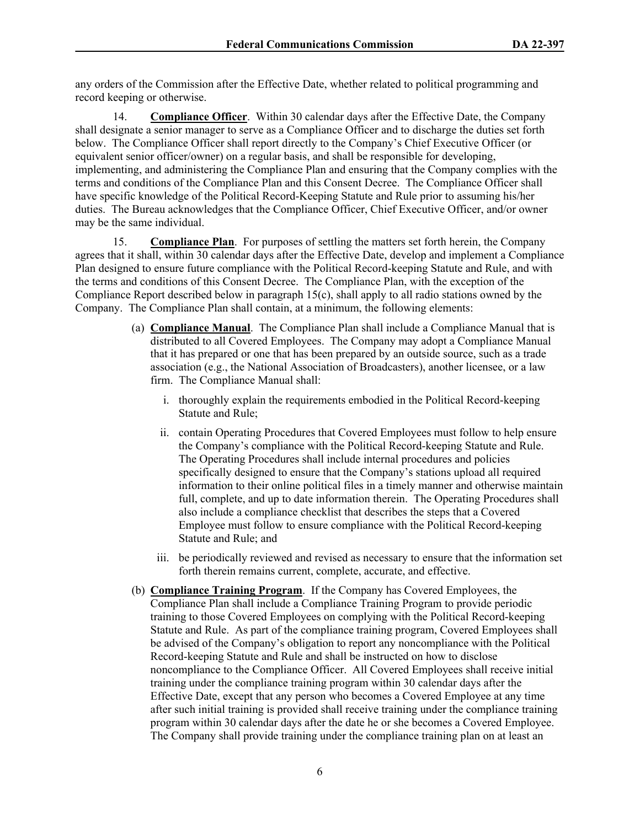any orders of the Commission after the Effective Date, whether related to political programming and record keeping or otherwise.

14. **Compliance Officer**. Within 30 calendar days after the Effective Date, the Company shall designate a senior manager to serve as a Compliance Officer and to discharge the duties set forth below. The Compliance Officer shall report directly to the Company's Chief Executive Officer (or equivalent senior officer/owner) on a regular basis, and shall be responsible for developing, implementing, and administering the Compliance Plan and ensuring that the Company complies with the terms and conditions of the Compliance Plan and this Consent Decree. The Compliance Officer shall have specific knowledge of the Political Record-Keeping Statute and Rule prior to assuming his/her duties. The Bureau acknowledges that the Compliance Officer, Chief Executive Officer, and/or owner may be the same individual.

15. **Compliance Plan**. For purposes of settling the matters set forth herein, the Company agrees that it shall, within 30 calendar days after the Effective Date, develop and implement a Compliance Plan designed to ensure future compliance with the Political Record-keeping Statute and Rule, and with the terms and conditions of this Consent Decree. The Compliance Plan, with the exception of the Compliance Report described below in paragraph 15(c), shall apply to all radio stations owned by the Company. The Compliance Plan shall contain, at a minimum, the following elements:

- (a) **Compliance Manual**. The Compliance Plan shall include a Compliance Manual that is distributed to all Covered Employees. The Company may adopt a Compliance Manual that it has prepared or one that has been prepared by an outside source, such as a trade association (e.g., the National Association of Broadcasters), another licensee, or a law firm. The Compliance Manual shall:
	- i. thoroughly explain the requirements embodied in the Political Record-keeping Statute and Rule;
	- ii. contain Operating Procedures that Covered Employees must follow to help ensure the Company's compliance with the Political Record-keeping Statute and Rule. The Operating Procedures shall include internal procedures and policies specifically designed to ensure that the Company's stations upload all required information to their online political files in a timely manner and otherwise maintain full, complete, and up to date information therein. The Operating Procedures shall also include a compliance checklist that describes the steps that a Covered Employee must follow to ensure compliance with the Political Record-keeping Statute and Rule; and
	- iii. be periodically reviewed and revised as necessary to ensure that the information set forth therein remains current, complete, accurate, and effective.
- (b) **Compliance Training Program**. If the Company has Covered Employees, the Compliance Plan shall include a Compliance Training Program to provide periodic training to those Covered Employees on complying with the Political Record-keeping Statute and Rule. As part of the compliance training program, Covered Employees shall be advised of the Company's obligation to report any noncompliance with the Political Record-keeping Statute and Rule and shall be instructed on how to disclose noncompliance to the Compliance Officer. All Covered Employees shall receive initial training under the compliance training program within 30 calendar days after the Effective Date, except that any person who becomes a Covered Employee at any time after such initial training is provided shall receive training under the compliance training program within 30 calendar days after the date he or she becomes a Covered Employee. The Company shall provide training under the compliance training plan on at least an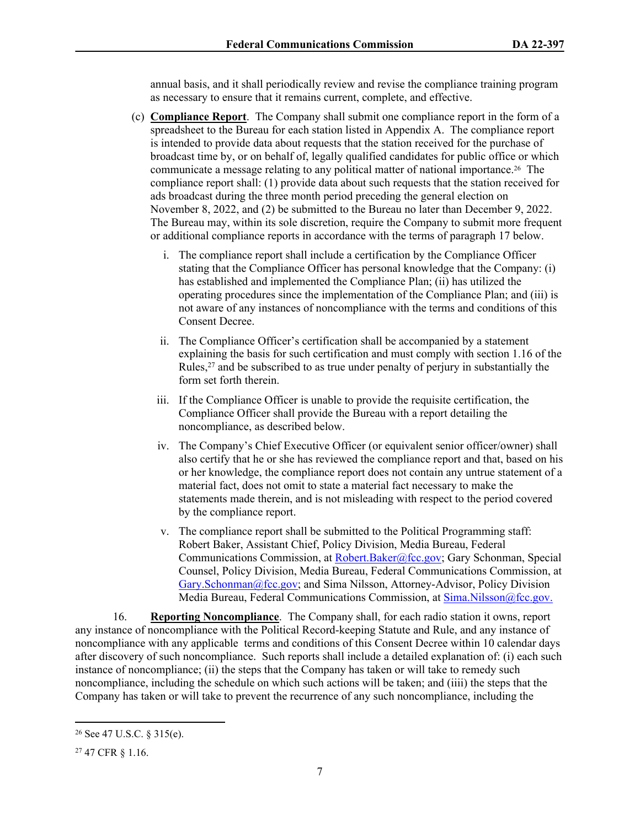annual basis, and it shall periodically review and revise the compliance training program as necessary to ensure that it remains current, complete, and effective.

- (c) **Compliance Report**. The Company shall submit one compliance report in the form of a spreadsheet to the Bureau for each station listed in Appendix A. The compliance report is intended to provide data about requests that the station received for the purchase of broadcast time by, or on behalf of, legally qualified candidates for public office or which communicate a message relating to any political matter of national importance.26 The compliance report shall: (1) provide data about such requests that the station received for ads broadcast during the three month period preceding the general election on November 8, 2022, and (2) be submitted to the Bureau no later than December 9, 2022. The Bureau may, within its sole discretion, require the Company to submit more frequent or additional compliance reports in accordance with the terms of paragraph 17 below.
	- i. The compliance report shall include a certification by the Compliance Officer stating that the Compliance Officer has personal knowledge that the Company: (i) has established and implemented the Compliance Plan; (ii) has utilized the operating procedures since the implementation of the Compliance Plan; and (iii) is not aware of any instances of noncompliance with the terms and conditions of this Consent Decree.
	- ii. The Compliance Officer's certification shall be accompanied by a statement explaining the basis for such certification and must comply with section 1.16 of the Rules,<sup>27</sup> and be subscribed to as true under penalty of perjury in substantially the form set forth therein.
	- iii. If the Compliance Officer is unable to provide the requisite certification, the Compliance Officer shall provide the Bureau with a report detailing the noncompliance, as described below.
	- iv. The Company's Chief Executive Officer (or equivalent senior officer/owner) shall also certify that he or she has reviewed the compliance report and that, based on his or her knowledge, the compliance report does not contain any untrue statement of a material fact, does not omit to state a material fact necessary to make the statements made therein, and is not misleading with respect to the period covered by the compliance report.
	- v. The compliance report shall be submitted to the Political Programming staff: Robert Baker, Assistant Chief, Policy Division, Media Bureau, Federal Communications Commission, at [Robert.Baker@fcc.gov](mailto:Robert.Baker@fcc.gov); Gary Schonman, Special Counsel, Policy Division, Media Bureau, Federal Communications Commission, at [Gary.Schonman@fcc.gov;](mailto:Gary.Schonman@fcc.gov) and Sima Nilsson, Attorney-Advisor, Policy Division Media Bureau, Federal Communications Commission, at [Sima.Nilsson@fcc.gov.](file://fccnet/data/Bureaus-Offices/MB/Policy/MB/Policy/POLITICAL%20PROGRAMMING/COMPLAINTS%20AND%20PETITIONS%20FOR%20RULEMAKING%20&%20DECLARATORY%20RULINGS/POLITICAL%20FILES%20-%20GROUP%20OWNERS/Consent%20Decrees/Entercom/Sima.Nilsson@fcc.gov.)

16. **Reporting Noncompliance**. The Company shall, for each radio station it owns, report any instance of noncompliance with the Political Record-keeping Statute and Rule, and any instance of noncompliance with any applicable terms and conditions of this Consent Decree within 10 calendar days after discovery of such noncompliance. Such reports shall include a detailed explanation of: (i) each such instance of noncompliance; (ii) the steps that the Company has taken or will take to remedy such noncompliance, including the schedule on which such actions will be taken; and (iiii) the steps that the Company has taken or will take to prevent the recurrence of any such noncompliance, including the

<sup>26</sup> See 47 U.S.C. § 315(e).

<sup>27</sup> 47 CFR § 1.16.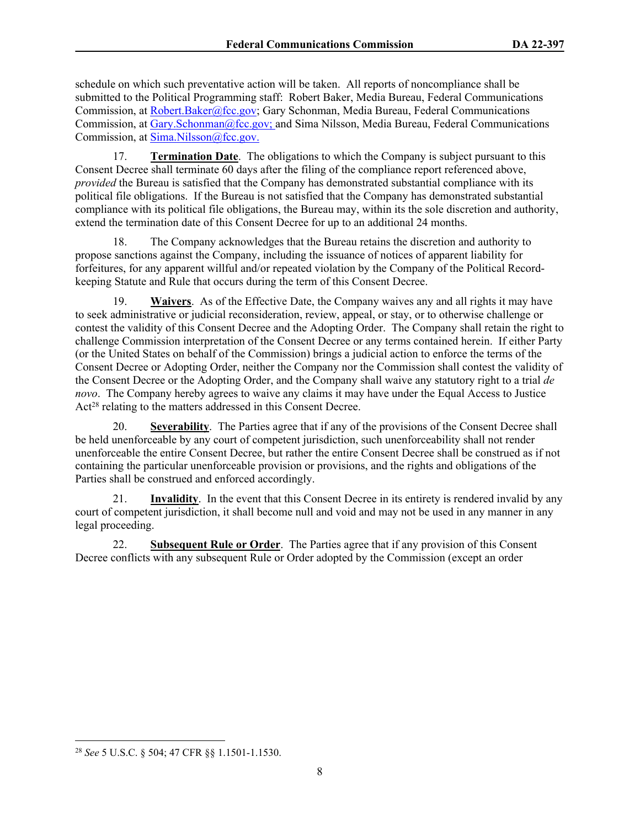schedule on which such preventative action will be taken. All reports of noncompliance shall be submitted to the Political Programming staff: Robert Baker, Media Bureau, Federal Communications Commission, at [Robert.Baker@fcc.gov;](mailto:Robert.Baker@fcc.gov) Gary Schonman, Media Bureau, Federal Communications Commission, at [Gary.Schonman@fcc.gov;](mailto:Gary.Schonman@fcc.gov) and Sima Nilsson, Media Bureau, Federal Communications Commission, at [Sima.Nilsson@fcc.gov.](file://fccnet/data/Bureaus-Offices/MB/Policy/MB/Policy/POLITICAL%20PROGRAMMING/COMPLAINTS%20AND%20PETITIONS%20FOR%20RULEMAKING%20&%20DECLARATORY%20RULINGS/POLITICAL%20FILES%20-%20GROUP%20OWNERS/Consent%20Decrees/Entercom/Sima.Nilsson@fcc.gov.)

17. **Termination Date**. The obligations to which the Company is subject pursuant to this Consent Decree shall terminate 60 days after the filing of the compliance report referenced above, *provided* the Bureau is satisfied that the Company has demonstrated substantial compliance with its political file obligations. If the Bureau is not satisfied that the Company has demonstrated substantial compliance with its political file obligations, the Bureau may, within its the sole discretion and authority, extend the termination date of this Consent Decree for up to an additional 24 months.

18. The Company acknowledges that the Bureau retains the discretion and authority to propose sanctions against the Company, including the issuance of notices of apparent liability for forfeitures, for any apparent willful and/or repeated violation by the Company of the Political Recordkeeping Statute and Rule that occurs during the term of this Consent Decree.

19. **Waivers**. As of the Effective Date, the Company waives any and all rights it may have to seek administrative or judicial reconsideration, review, appeal, or stay, or to otherwise challenge or contest the validity of this Consent Decree and the Adopting Order. The Company shall retain the right to challenge Commission interpretation of the Consent Decree or any terms contained herein. If either Party (or the United States on behalf of the Commission) brings a judicial action to enforce the terms of the Consent Decree or Adopting Order, neither the Company nor the Commission shall contest the validity of the Consent Decree or the Adopting Order, and the Company shall waive any statutory right to a trial *de novo*. The Company hereby agrees to waive any claims it may have under the Equal Access to Justice Act<sup>28</sup> relating to the matters addressed in this Consent Decree.

20. **Severability**. The Parties agree that if any of the provisions of the Consent Decree shall be held unenforceable by any court of competent jurisdiction, such unenforceability shall not render unenforceable the entire Consent Decree, but rather the entire Consent Decree shall be construed as if not containing the particular unenforceable provision or provisions, and the rights and obligations of the Parties shall be construed and enforced accordingly.

21. **Invalidity**. In the event that this Consent Decree in its entirety is rendered invalid by any court of competent jurisdiction, it shall become null and void and may not be used in any manner in any legal proceeding.

22. **Subsequent Rule or Order**. The Parties agree that if any provision of this Consent Decree conflicts with any subsequent Rule or Order adopted by the Commission (except an order

<sup>28</sup> *See* 5 U.S.C. § 504; 47 CFR §§ 1.1501-1.1530.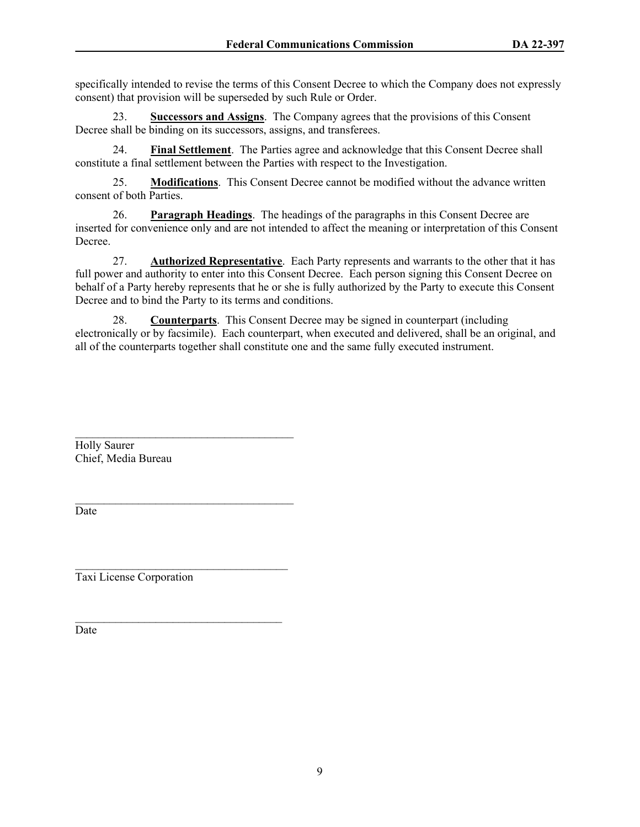specifically intended to revise the terms of this Consent Decree to which the Company does not expressly consent) that provision will be superseded by such Rule or Order.

23. **Successors and Assigns**.The Company agrees that the provisions of this Consent Decree shall be binding on its successors, assigns, and transferees.

24. **Final Settlement**. The Parties agree and acknowledge that this Consent Decree shall constitute a final settlement between the Parties with respect to the Investigation.

25. **Modifications**. This Consent Decree cannot be modified without the advance written consent of both Parties.

26. **Paragraph Headings**. The headings of the paragraphs in this Consent Decree are inserted for convenience only and are not intended to affect the meaning or interpretation of this Consent Decree.

27. **Authorized Representative**. Each Party represents and warrants to the other that it has full power and authority to enter into this Consent Decree. Each person signing this Consent Decree on behalf of a Party hereby represents that he or she is fully authorized by the Party to execute this Consent Decree and to bind the Party to its terms and conditions.

28. **Counterparts**. This Consent Decree may be signed in counterpart (including electronically or by facsimile). Each counterpart, when executed and delivered, shall be an original, and all of the counterparts together shall constitute one and the same fully executed instrument.

 $\mathcal{L}_\text{max}$ Holly Saurer Chief, Media Bureau

Date

Taxi License Corporation

 $\mathcal{L}_\text{max}$  and  $\mathcal{L}_\text{max}$  and  $\mathcal{L}_\text{max}$  and  $\mathcal{L}_\text{max}$ 

 $\mathcal{L}_\text{max}$ 

 $\mathcal{L}_\text{max}$ 

Date